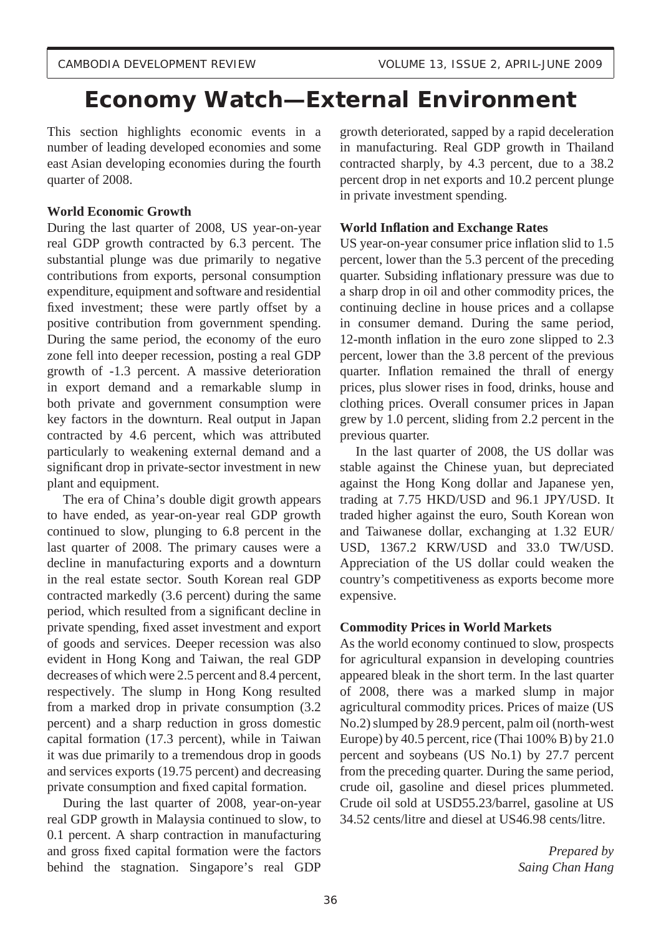# **Economy Watch—External Environment**

This section highlights economic events in a number of leading developed economies and some east Asian developing economies during the fourth quarter of 2008.

# **World Economic Growth**

During the last quarter of 2008, US year-on-year real GDP growth contracted by 6.3 percent. The substantial plunge was due primarily to negative contributions from exports, personal consumption expenditure, equipment and software and residential fixed investment; these were partly offset by a positive contribution from government spending. During the same period, the economy of the euro zone fell into deeper recession, posting a real GDP growth of -1.3 percent. A massive deterioration in export demand and a remarkable slump in both private and government consumption were key factors in the downturn. Real output in Japan contracted by 4.6 percent, which was attributed particularly to weakening external demand and a significant drop in private-sector investment in new plant and equipment.

 The era of China's double digit growth appears to have ended, as year-on-year real GDP growth continued to slow, plunging to 6.8 percent in the last quarter of 2008. The primary causes were a decline in manufacturing exports and a downturn in the real estate sector. South Korean real GDP contracted markedly (3.6 percent) during the same period, which resulted from a significant decline in private spending, fixed asset investment and export of goods and services. Deeper recession was also evident in Hong Kong and Taiwan, the real GDP decreases of which were 2.5 percent and 8.4 percent, respectively. The slump in Hong Kong resulted from a marked drop in private consumption (3.2 percent) and a sharp reduction in gross domestic capital formation (17.3 percent), while in Taiwan it was due primarily to a tremendous drop in goods and services exports (19.75 percent) and decreasing private consumption and fixed capital formation.

 During the last quarter of 2008, year-on-year real GDP growth in Malaysia continued to slow, to 0.1 percent. A sharp contraction in manufacturing and gross fixed capital formation were the factors behind the stagnation. Singapore's real GDP growth deteriorated, sapped by a rapid deceleration in manufacturing. Real GDP growth in Thailand contracted sharply, by 4.3 percent, due to a 38.2 percent drop in net exports and 10.2 percent plunge in private investment spending.

# **World Inflation and Exchange Rates**

US year-on-year consumer price inflation slid to 1.5 percent, lower than the 5.3 percent of the preceding quarter. Subsiding inflationary pressure was due to a sharp drop in oil and other commodity prices, the continuing decline in house prices and a collapse in consumer demand. During the same period, 12-month inflation in the euro zone slipped to  $2.3$ percent, lower than the 3.8 percent of the previous quarter. Inflation remained the thrall of energy prices, plus slower rises in food, drinks, house and clothing prices. Overall consumer prices in Japan grew by 1.0 percent, sliding from 2.2 percent in the previous quarter.

 In the last quarter of 2008, the US dollar was stable against the Chinese yuan, but depreciated against the Hong Kong dollar and Japanese yen, trading at 7.75 HKD/USD and 96.1 JPY/USD. It traded higher against the euro, South Korean won and Taiwanese dollar, exchanging at 1.32 EUR/ USD, 1367.2 KRW/USD and 33.0 TW/USD. Appreciation of the US dollar could weaken the country's competitiveness as exports become more expensive.

# **Commodity Prices in World Markets**

As the world economy continued to slow, prospects for agricultural expansion in developing countries appeared bleak in the short term. In the last quarter of 2008, there was a marked slump in major agricultural commodity prices. Prices of maize (US No.2) slumped by 28.9 percent, palm oil (north-west Europe) by 40.5 percent, rice (Thai 100% B) by 21.0 percent and soybeans (US No.1) by 27.7 percent from the preceding quarter. During the same period, crude oil, gasoline and diesel prices plummeted. Crude oil sold at USD55.23/barrel, gasoline at US 34.52 cents/litre and diesel at US46.98 cents/litre.

> *Prepared by Saing Chan Hang*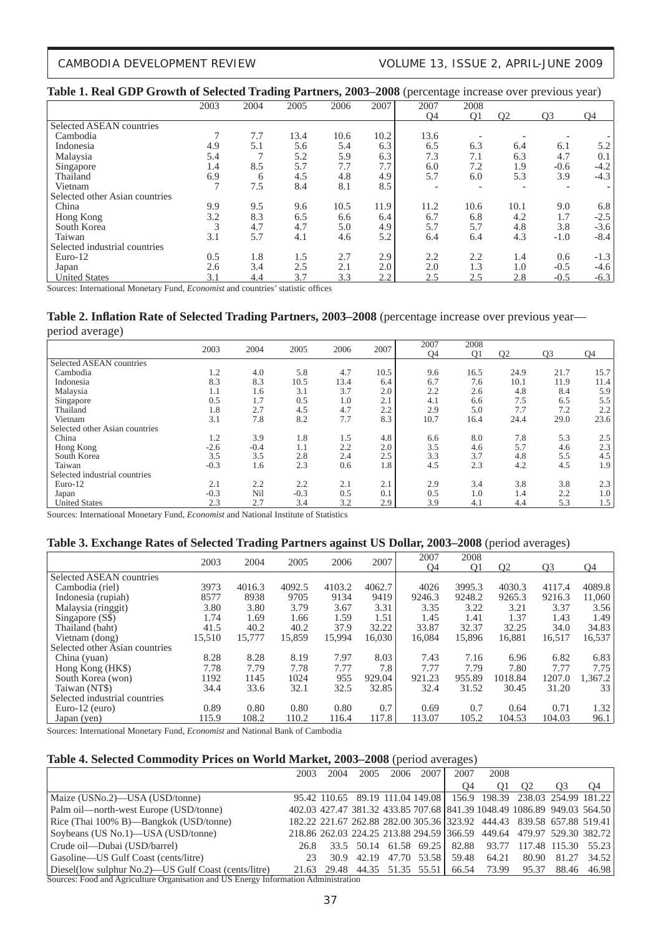### CAMBODIA DEVELOPMENT REVIEW VOLUME 13, ISSUE 2, APRIL-JUNE 2009

### **Table 1. Real GDP Growth of Selected Trading Partners, 2003–2008** (percentage increase over previous year)

|                                |               |      | ິ    |      |      | ∼≖        | ັ    |                | л.             | $\tilde{\phantom{a}}$ |
|--------------------------------|---------------|------|------|------|------|-----------|------|----------------|----------------|-----------------------|
|                                | 2003          | 2004 | 2005 | 2006 | 2007 | 2007      | 2008 |                |                |                       |
|                                |               |      |      |      |      | <b>O4</b> | Q1   | O <sub>2</sub> | Q <sub>3</sub> | <b>O4</b>             |
| Selected ASEAN countries       |               |      |      |      |      |           |      |                |                |                       |
| Cambodia                       | $\mathcal{L}$ | 7.7  | 13.4 | 10.6 | 10.2 | 13.6      |      |                |                |                       |
| Indonesia                      | 4.9           | 5.1  | 5.6  | 5.4  | 6.3  | 6.5       | 6.3  | 6.4            | 6.1            | 5.2                   |
| Malaysia                       | 5.4           |      | 5.2  | 5.9  | 6.3  | 7.3       | 7.1  | 6.3            | 4.7            | 0.1                   |
| Singapore                      | 1.4           | 8.5  | 5.7  | 7.7  | 7.7  | 6.0       | 7.2  | 1.9            | $-0.6$         | $-4.2$                |
| Thailand                       | 6.9           | 6    | 4.5  | 4.8  | 4.9  | 5.7       | 6.0  | 5.3            | 3.9            | $-4.3$                |
| Vietnam                        | 7             | 7.5  | 8.4  | 8.1  | 8.5  |           |      |                |                |                       |
| Selected other Asian countries |               |      |      |      |      |           |      |                |                |                       |
| China                          | 9.9           | 9.5  | 9.6  | 10.5 | 11.9 | 11.2      | 10.6 | 10.1           | 9.0            | 6.8                   |
| Hong Kong                      | 3.2           | 8.3  | 6.5  | 6.6  | 6.4  | 6.7       | 6.8  | 4.2            | 1.7            | $-2.5$                |
| South Korea                    | 3             | 4.7  | 4.7  | 5.0  | 4.9  | 5.7       | 5.7  | 4.8            | 3.8            | $-3.6$                |
| Taiwan                         | 3.1           | 5.7  | 4.1  | 4.6  | 5.2  | 6.4       | 6.4  | 4.3            | $-1.0$         | $-8.4$                |
| Selected industrial countries  |               |      |      |      |      |           |      |                |                |                       |
| Euro-12                        | 0.5           | 1.8  | 1.5  | 2.7  | 2.9  | 2.2       | 2.2  | 1.4            | 0.6            | $-1.3$                |
| Japan                          | 2.6           | 3.4  | 2.5  | 2.1  | 2.0  | 2.0       | 1.3  | 1.0            | $-0.5$         | $-4.6$                |
| <b>United States</b>           | 3.1           | 4.4  | 3.7  | 3.3  | 2.2  | 2.5       | 2.5  | 2.8            | $-0.5$         | $-6.3$                |

Sources: International Monetary Fund, *Economist* and countries' statistic offices

# Table 2. Inflation Rate of Selected Trading Partners, 2003-2008 (percentage increase over previous year-

period average)

| $\tilde{\phantom{a}}$              |        |          |          |                      |      | 2007      | 2008           |                |                |                  |
|------------------------------------|--------|----------|----------|----------------------|------|-----------|----------------|----------------|----------------|------------------|
|                                    | 2003   | 2004     | 2005     | 2006                 | 2007 | <b>O4</b> | O <sub>1</sub> | O <sub>2</sub> | O <sub>3</sub> | <b>O4</b>        |
| Selected ASEAN countries           |        |          |          |                      |      |           |                |                |                |                  |
| Cambodia                           | 1.2    | 4.0      | 5.8      | 4.7                  | 10.5 | 9.6       | 16.5           | 24.9           | 21.7           | 15.7             |
| Indonesia                          | 8.3    | 8.3      | 10.5     | 13.4                 | 6.4  | 6.7       | 7.6            | 10.1           | 11.9           | 11.4             |
| Malaysia                           | 1.1    | 1.6      | 3.1      | 3.7                  | 2.0  | 2.2       | 2.6            | 4.8            | 8.4            | 5.9              |
| Singapore                          | 0.5    | 1.7      | 0.5      | 1.0                  | 2.1  | 4.1       | 6.6            | 7.5            | 6.5            | 5.5              |
| Thailand                           | 1.8    | 2.7      | 4.5      | 4.7                  | 2.2  | 2.9       | 5.0            | 7.7            | 7.2            | 2.2              |
| Vietnam                            | 3.1    | 7.8      | 8.2      | 7.7                  | 8.3  | 10.7      | 16.4           | 24.4           | 29.0           | 23.6             |
| Selected other Asian countries     |        |          |          |                      |      |           |                |                |                |                  |
| China                              | 1.2    | 3.9      | 1.8      | 1.5                  | 4.8  | 6.6       | 8.0            | 7.8            | 5.3            | 2.5              |
| Hong Kong                          | $-2.6$ | $-0.4$   | 1.1      | 2.2                  | 2.0  | 3.5       | 4.6            | 5.7            | 4.6            | 2.3              |
| South Korea                        | 3.5    | 3.5      | 2.8      | 2.4                  | 2.5  | 3.3       | 3.7            | 4.8            | 5.5            | 4.5              |
| Taiwan                             | $-0.3$ | 1.6      | 2.3      | 0.6                  | 1.8  | 4.5       | 2.3            | 4.2            | 4.5            | 1.9              |
| Selected industrial countries      |        |          |          |                      |      |           |                |                |                |                  |
| Euro-12                            | 2.1    | 2.2      | 2.2      | 2.1                  | 2.1  | 2.9       | 3.4            | 3.8            | 3.8            | 2.3              |
| Japan                              | $-0.3$ | Nil      | $-0.3$   | 0.5                  | 0.1  | 0.5       | 1.0            | 1.4            | 2.2            | 1.0 <sup>1</sup> |
| <b>United States</b>               | 2.3    | 2.7      | 3.4      | 3.2                  | 2.9  | 3.9       | 4.1            | 4.4            | 5.3            | 1.5              |
| $\cdots$ $\cdots$<br>$\sim$<br>$-$ | .      | $\cdots$ | $\cdots$ | $\sim$ $\sim$ $\sim$ |      |           |                |                |                |                  |

Sources: International Monetary Fund, *Economist* and National Institute of Statistics

#### **Table 3. Exchange Rates of Selected Trading Partners against US Dollar, 2003–2008** (period averages)

|                                |        |        |        |        | 2007   | 2007   | 2008           |                |                |         |
|--------------------------------|--------|--------|--------|--------|--------|--------|----------------|----------------|----------------|---------|
|                                | 2003   | 2004   | 2005   | 2006   |        | O4     | O <sub>1</sub> | O <sub>2</sub> | O <sub>3</sub> | O4      |
| Selected ASEAN countries       |        |        |        |        |        |        |                |                |                |         |
| Cambodia (riel)                | 3973   | 4016.3 | 4092.5 | 4103.2 | 4062.7 | 4026   | 3995.3         | 4030.3         | 4117.4         | 4089.8  |
| Indonesia (rupiah)             | 8577   | 8938   | 9705   | 9134   | 9419   | 9246.3 | 9248.2         | 9265.3         | 9216.3         | 11,060  |
| Malaysia (ringgit)             | 3.80   | 3.80   | 3.79   | 3.67   | 3.31   | 3.35   | 3.22           | 3.21           | 3.37           | 3.56    |
| Singapore (S\$)                | 1.74   | 1.69   | 1.66   | 1.59   | 1.51   | 1.45   | 1.41           | 1.37           | 1.43           | 1.49    |
| Thailand (baht)                | 41.5   | 40.2   | 40.2   | 37.9   | 32.22  | 33.87  | 32.37          | 32.25          | 34.0           | 34.83   |
| Vietnam (dong)                 | 15,510 | 15,777 | 15,859 | 15,994 | 16,030 | 16,084 | 15,896         | 16,881         | 16,517         | 16,537  |
| Selected other Asian countries |        |        |        |        |        |        |                |                |                |         |
| China (yuan)                   | 8.28   | 8.28   | 8.19   | 7.97   | 8.03   | 7.43   | 7.16           | 6.96           | 6.82           | 6.83    |
| Hong Kong (HK\$)               | 7.78   | 7.79   | 7.78   | 7.77   | 7.8    | 7.77   | 7.79           | 7.80           | 7.77           | 7.75    |
| South Korea (won)              | 1192   | 1145   | 1024   | 955    | 929.04 | 921.23 | 955.89         | 1018.84        | 1207.0         | 1.367.2 |
| Taiwan (NT\$)                  | 34.4   | 33.6   | 32.1   | 32.5   | 32.85  | 32.4   | 31.52          | 30.45          | 31.20          | 33      |
| Selected industrial countries  |        |        |        |        |        |        |                |                |                |         |
| Euro-12 $(euro)$               | 0.89   | 0.80   | 0.80   | 0.80   | 0.7    | 0.69   | 0.7            | 0.64           | 0.71           | 1.32    |
| Japan (yen)                    | 115.9  | 108.2  | 110.2  | 116.4  | 117.8  | 113.07 | 105.2          | 104.53         | 104.03         | 96.1    |

Sources: International Monetary Fund, *Economist* and National Bank of Cambodia

### **Table 4. Selected Commodity Prices on World Market, 2003–2008** (period averages)

|                                                      | 2003 | 2004 | 2005 | 2006 | 2007 <sub>1</sub> | 2007                                | 2008  |                                                                         |                   |             |
|------------------------------------------------------|------|------|------|------|-------------------|-------------------------------------|-------|-------------------------------------------------------------------------|-------------------|-------------|
|                                                      |      |      |      |      |                   | Ω4                                  | O1    |                                                                         | O3                | O4          |
| Maize (USNo.2)—USA (USD/tonne)                       |      |      |      |      |                   |                                     |       | 95.42 110.65 89.19 111.04 149.08 156.9 198.39 238.03 254.99 181.22      |                   |             |
| Palm oil—north-west Europe (USD/tonne)               |      |      |      |      |                   |                                     |       | 402.03 427.47 381.32 433.85 707.68 841.39 1048.49 1086.89 949.03 564.50 |                   |             |
| Rice (Thai 100% B)—Bangkok (USD/tonne)               |      |      |      |      |                   |                                     |       | 182.22 221.67 262.88 282.00 305.36 323.92 444.43 839.58 657.88 519.41   |                   |             |
| Soybeans (US No.1)—USA (USD/tonne)                   |      |      |      |      |                   |                                     |       | 218.86 262.03 224.25 213.88 294.59 366.59 449.64 479.97 529.30 382.72   |                   |             |
| Crude oil—Dubai (USD/barrel)                         | 26.8 |      |      |      |                   |                                     |       | 33.5 50.14 61.58 69.25 82.88 93.77 117.48 115.30 55.23                  |                   |             |
| Gasoline—US Gulf Coast (cents/litre)                 | 23   |      |      |      |                   | 30.9 42.19 47.70 53.58 59.48        | 64.21 |                                                                         | 80.90 81.27 34.52 |             |
| Diesel(low sulphur No.2)—US Gulf Coast (cents/litre) |      |      |      |      |                   | 21.63 29.48 44.35 51.35 55.51 66.54 | 73.99 | 95.37                                                                   |                   | 88.46 46.98 |
| 1 T T T T T                                          |      |      |      |      |                   |                                     |       |                                                                         |                   |             |

Sources: Food and Agriculture Organisation and US Energy Information Administration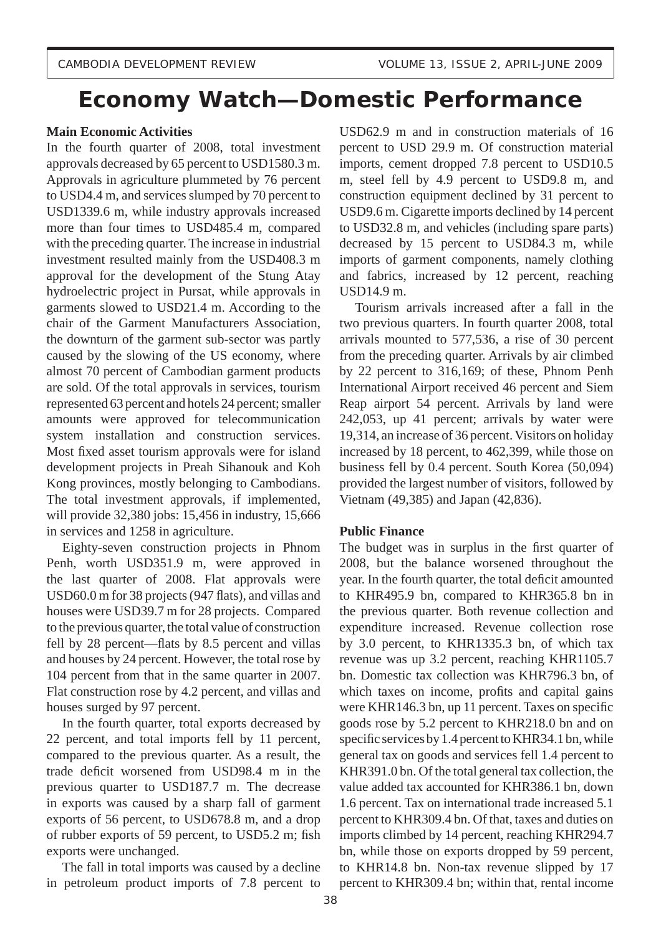# **Economy Watch—Domestic Performance**

# **Main Economic Activities**

In the fourth quarter of 2008, total investment approvals decreased by 65 percent to USD1580.3 m. Approvals in agriculture plummeted by 76 percent to USD4.4 m, and services slumped by 70 percent to USD1339.6 m, while industry approvals increased more than four times to USD485.4 m, compared with the preceding quarter. The increase in industrial investment resulted mainly from the USD408.3 m approval for the development of the Stung Atay hydroelectric project in Pursat, while approvals in garments slowed to USD21.4 m. According to the chair of the Garment Manufacturers Association, the downturn of the garment sub-sector was partly caused by the slowing of the US economy, where almost 70 percent of Cambodian garment products are sold. Of the total approvals in services, tourism represented 63 percent and hotels 24 percent; smaller amounts were approved for telecommunication system installation and construction services. Most fixed asset tourism approvals were for island development projects in Preah Sihanouk and Koh Kong provinces, mostly belonging to Cambodians. The total investment approvals, if implemented, will provide 32,380 jobs: 15,456 in industry, 15,666 in services and 1258 in agriculture.

 Eighty-seven construction projects in Phnom Penh, worth USD351.9 m, were approved in the last quarter of 2008. Flat approvals were USD60.0 m for 38 projects (947 flats), and villas and houses were USD39.7 m for 28 projects. Compared to the previous quarter, the total value of construction fell by 28 percent—flats by 8.5 percent and villas and houses by 24 percent. However, the total rose by 104 percent from that in the same quarter in 2007. Flat construction rose by 4.2 percent, and villas and houses surged by 97 percent.

 In the fourth quarter, total exports decreased by 22 percent, and total imports fell by 11 percent, compared to the previous quarter. As a result, the trade deficit worsened from USD98.4 m in the previous quarter to USD187.7 m. The decrease in exports was caused by a sharp fall of garment exports of 56 percent, to USD678.8 m, and a drop of rubber exports of 59 percent, to USD5.2 m; fish exports were unchanged.

 The fall in total imports was caused by a decline in petroleum product imports of 7.8 percent to USD62.9 m and in construction materials of 16 percent to USD 29.9 m. Of construction material imports, cement dropped 7.8 percent to USD10.5 m, steel fell by 4.9 percent to USD9.8 m, and construction equipment declined by 31 percent to USD9.6 m. Cigarette imports declined by 14 percent to USD32.8 m, and vehicles (including spare parts) decreased by 15 percent to USD84.3 m, while imports of garment components, namely clothing and fabrics, increased by 12 percent, reaching USD14.9 m.

 Tourism arrivals increased after a fall in the two previous quarters. In fourth quarter 2008, total arrivals mounted to 577,536, a rise of 30 percent from the preceding quarter. Arrivals by air climbed by 22 percent to 316,169; of these, Phnom Penh International Airport received 46 percent and Siem Reap airport 54 percent. Arrivals by land were 242,053, up 41 percent; arrivals by water were 19,314, an increase of 36 percent. Visitors on holiday increased by 18 percent, to 462,399, while those on business fell by 0.4 percent. South Korea (50,094) provided the largest number of visitors, followed by Vietnam (49,385) and Japan (42,836).

# **Public Finance**

The budget was in surplus in the first quarter of 2008, but the balance worsened throughout the year. In the fourth quarter, the total deficit amounted to KHR495.9 bn, compared to KHR365.8 bn in the previous quarter. Both revenue collection and expenditure increased. Revenue collection rose by 3.0 percent, to KHR1335.3 bn, of which tax revenue was up 3.2 percent, reaching KHR1105.7 bn. Domestic tax collection was KHR796.3 bn, of which taxes on income, profits and capital gains were KHR146.3 bn, up 11 percent. Taxes on specific goods rose by 5.2 percent to KHR218.0 bn and on specific services by  $1.4$  percent to KHR34.1 bn, while general tax on goods and services fell 1.4 percent to KHR391.0 bn. Of the total general tax collection, the value added tax accounted for KHR386.1 bn, down 1.6 percent. Tax on international trade increased 5.1 percent to KHR309.4 bn. Of that, taxes and duties on imports climbed by 14 percent, reaching KHR294.7 bn, while those on exports dropped by 59 percent, to KHR14.8 bn. Non-tax revenue slipped by 17 percent to KHR309.4 bn; within that, rental income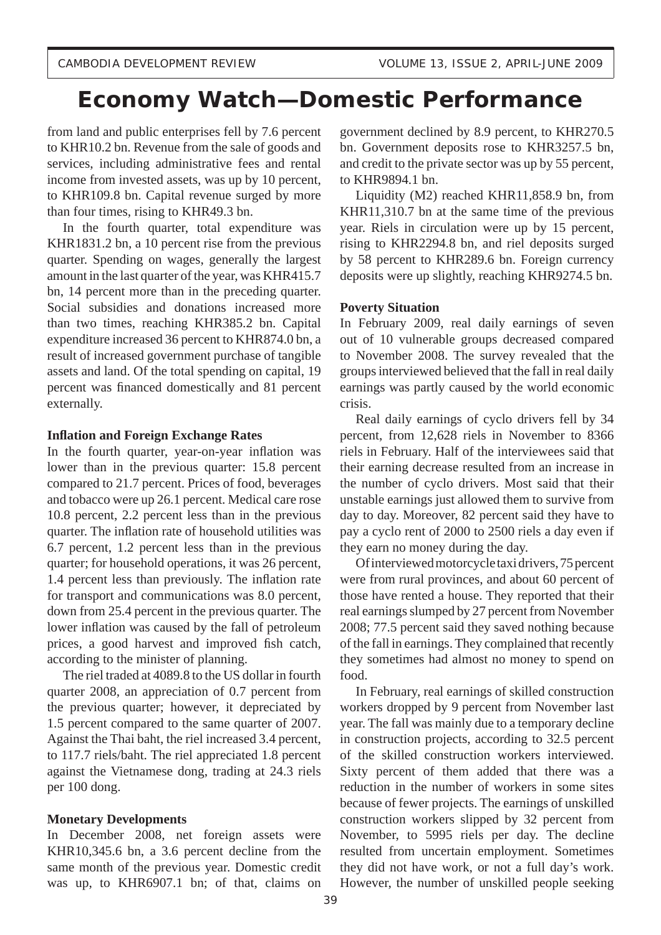# **Economy Watch—Domestic Performance**

from land and public enterprises fell by 7.6 percent to KHR10.2 bn. Revenue from the sale of goods and services, including administrative fees and rental income from invested assets, was up by 10 percent, to KHR109.8 bn. Capital revenue surged by more than four times, rising to KHR49.3 bn.

 In the fourth quarter, total expenditure was KHR1831.2 bn, a 10 percent rise from the previous quarter. Spending on wages, generally the largest amount in the last quarter of the year, was KHR415.7 bn, 14 percent more than in the preceding quarter. Social subsidies and donations increased more than two times, reaching KHR385.2 bn. Capital expenditure increased 36 percent to KHR874.0 bn, a result of increased government purchase of tangible assets and land. Of the total spending on capital, 19 percent was financed domestically and 81 percent externally.

## **Infl ation and Foreign Exchange Rates**

In the fourth quarter, year-on-year inflation was lower than in the previous quarter: 15.8 percent compared to 21.7 percent. Prices of food, beverages and tobacco were up 26.1 percent. Medical care rose 10.8 percent, 2.2 percent less than in the previous quarter. The inflation rate of household utilities was 6.7 percent, 1.2 percent less than in the previous quarter; for household operations, it was 26 percent, 1.4 percent less than previously. The inflation rate for transport and communications was 8.0 percent, down from 25.4 percent in the previous quarter. The lower inflation was caused by the fall of petroleum prices, a good harvest and improved fish catch, according to the minister of planning.

 The riel traded at 4089.8 to the US dollar in fourth quarter 2008, an appreciation of 0.7 percent from the previous quarter; however, it depreciated by 1.5 percent compared to the same quarter of 2007. Against the Thai baht, the riel increased 3.4 percent, to 117.7 riels/baht. The riel appreciated 1.8 percent against the Vietnamese dong, trading at 24.3 riels per 100 dong.

## **Monetary Developments**

In December 2008, net foreign assets were KHR10,345.6 bn, a 3.6 percent decline from the same month of the previous year. Domestic credit was up, to KHR6907.1 bn; of that, claims on government declined by 8.9 percent, to KHR270.5 bn. Government deposits rose to KHR3257.5 bn, and credit to the private sector was up by 55 percent, to KHR9894.1 bn.

 Liquidity (M2) reached KHR11,858.9 bn, from KHR11,310.7 bn at the same time of the previous year. Riels in circulation were up by 15 percent, rising to KHR2294.8 bn, and riel deposits surged by 58 percent to KHR289.6 bn. Foreign currency deposits were up slightly, reaching KHR9274.5 bn.

#### **Poverty Situation**

In February 2009, real daily earnings of seven out of 10 vulnerable groups decreased compared to November 2008. The survey revealed that the groups interviewed believed that the fall in real daily earnings was partly caused by the world economic crisis.

 Real daily earnings of cyclo drivers fell by 34 percent, from 12,628 riels in November to 8366 riels in February. Half of the interviewees said that their earning decrease resulted from an increase in the number of cyclo drivers. Most said that their unstable earnings just allowed them to survive from day to day. Moreover, 82 percent said they have to pay a cyclo rent of 2000 to 2500 riels a day even if they earn no money during the day.

 Of interviewed motorcycle taxi drivers, 75 percent were from rural provinces, and about 60 percent of those have rented a house. They reported that their real earnings slumped by 27 percent from November 2008; 77.5 percent said they saved nothing because of the fall in earnings. They complained that recently they sometimes had almost no money to spend on food.

 In February, real earnings of skilled construction workers dropped by 9 percent from November last year. The fall was mainly due to a temporary decline in construction projects, according to 32.5 percent of the skilled construction workers interviewed. Sixty percent of them added that there was a reduction in the number of workers in some sites because of fewer projects. The earnings of unskilled construction workers slipped by 32 percent from November, to 5995 riels per day. The decline resulted from uncertain employment. Sometimes they did not have work, or not a full day's work. However, the number of unskilled people seeking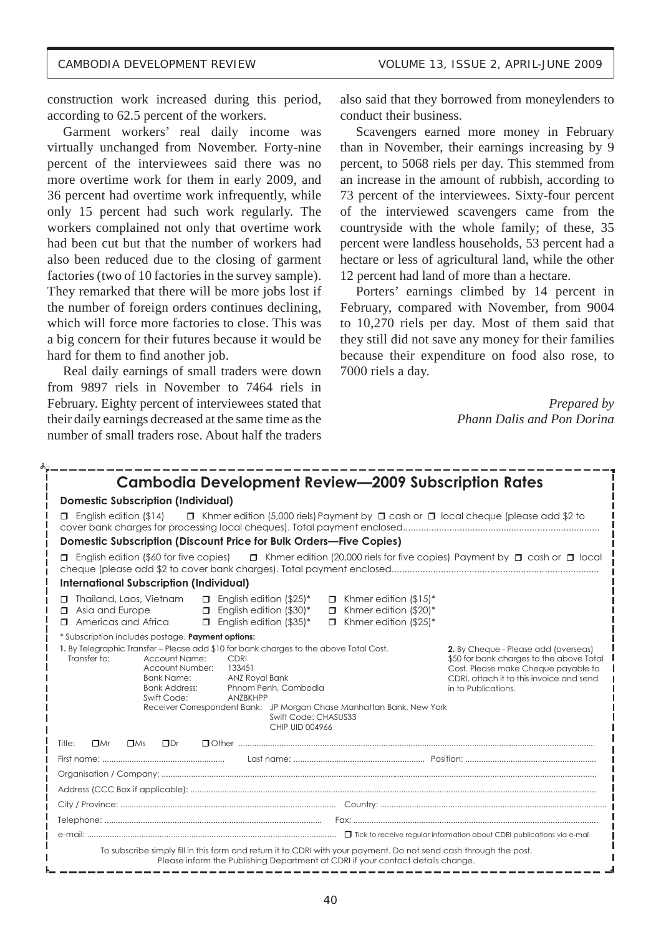construction work increased during this period, according to 62.5 percent of the workers.

 Garment workers' real daily income was virtually unchanged from November. Forty-nine percent of the interviewees said there was no more overtime work for them in early 2009, and 36 percent had overtime work infrequently, while only 15 percent had such work regularly. The workers complained not only that overtime work had been cut but that the number of workers had also been reduced due to the closing of garment factories (two of 10 factories in the survey sample). They remarked that there will be more jobs lost if the number of foreign orders continues declining, which will force more factories to close. This was a big concern for their futures because it would be hard for them to find another job.

 Real daily earnings of small traders were down from 9897 riels in November to 7464 riels in February. Eighty percent of interviewees stated that their daily earnings decreased at the same time as the number of small traders rose. About half the traders also said that they borrowed from moneylenders to conduct their business.

 Scavengers earned more money in February than in November, their earnings increasing by 9 percent, to 5068 riels per day. This stemmed from an increase in the amount of rubbish, according to 73 percent of the interviewees. Sixty-four percent of the interviewed scavengers came from the countryside with the whole family; of these, 35 percent were landless households, 53 percent had a hectare or less of agricultural land, while the other 12 percent had land of more than a hectare.

 Porters' earnings climbed by 14 percent in February, compared with November, from 9004 to 10,270 riels per day. Most of them said that they still did not save any money for their families because their expenditure on food also rose, to 7000 riels a day.

> *Prepared by Phann Dalis and Pon Dorina*

| <b>Cambodia Development Review-2009 Subscription Rates</b>                                                                                                                                                                                                                                                                                                                                                                                                                                                                                                                                              |  |  |  |  |  |  |  |  |  |  |  |
|---------------------------------------------------------------------------------------------------------------------------------------------------------------------------------------------------------------------------------------------------------------------------------------------------------------------------------------------------------------------------------------------------------------------------------------------------------------------------------------------------------------------------------------------------------------------------------------------------------|--|--|--|--|--|--|--|--|--|--|--|
| <b>Domestic Subscription (Individual)</b>                                                                                                                                                                                                                                                                                                                                                                                                                                                                                                                                                               |  |  |  |  |  |  |  |  |  |  |  |
| $\Box$ Khmer edition (5,000 riels) Payment by $\Box$ cash or $\Box$ local cheque (please add \$2 to<br>$\Box$ English edition (\$14)                                                                                                                                                                                                                                                                                                                                                                                                                                                                    |  |  |  |  |  |  |  |  |  |  |  |
| Domestic Subscription (Discount Price for Bulk Orders-Five Copies)                                                                                                                                                                                                                                                                                                                                                                                                                                                                                                                                      |  |  |  |  |  |  |  |  |  |  |  |
| $\Box$ English edition (\$60 for five copies) $\Box$ Khmer edition (20,000 riels for five copies) Payment by $\Box$ cash or $\Box$ local                                                                                                                                                                                                                                                                                                                                                                                                                                                                |  |  |  |  |  |  |  |  |  |  |  |
| <b>International Subscription (Individual)</b>                                                                                                                                                                                                                                                                                                                                                                                                                                                                                                                                                          |  |  |  |  |  |  |  |  |  |  |  |
| □ Thailand, Laos, Vietnam<br>$\Box$ English edition (\$25)*<br>$\Box$ Khmer edition (\$15)*<br>$\Box$ English edition (\$30)*<br>$\Box$ Khmer edition (\$20)*<br>$\Box$ Asia and Europe<br>$\Box$ Americas and Africa<br>$\Box$ English edition (\$35)*<br>$\Box$ Khmer edition (\$25)*                                                                                                                                                                                                                                                                                                                 |  |  |  |  |  |  |  |  |  |  |  |
| * Subscription includes postage. Payment options:                                                                                                                                                                                                                                                                                                                                                                                                                                                                                                                                                       |  |  |  |  |  |  |  |  |  |  |  |
| 1. By Telegraphic Transfer - Please add \$10 for bank charges to the above Total Cost.<br>2. By Cheque - Please add (overseas)<br>Transfer to:<br><b>Account Name:</b><br>CDRI<br>\$50 for bank charges to the above Total<br>Account Number:<br>133451<br>Cost. Please make Cheque payable to<br><b>Bank Name:</b><br>ANZ Royal Bank<br>CDRI, attach it to this invoice and send<br><b>Bank Address:</b><br>Phnom Penh, Cambodia<br>in to Publications.<br>Swift Code:<br>ANZBKHPP<br>Receiver Correspondent Bank: JP Morgan Chase Manhattan Bank, New York<br>Swift Code: CHASUS33<br>CHIP UID 004966 |  |  |  |  |  |  |  |  |  |  |  |
| $\Box$ Dr<br>Title:<br>$\Box$ Mr<br>$\Box$ Ms                                                                                                                                                                                                                                                                                                                                                                                                                                                                                                                                                           |  |  |  |  |  |  |  |  |  |  |  |
|                                                                                                                                                                                                                                                                                                                                                                                                                                                                                                                                                                                                         |  |  |  |  |  |  |  |  |  |  |  |
|                                                                                                                                                                                                                                                                                                                                                                                                                                                                                                                                                                                                         |  |  |  |  |  |  |  |  |  |  |  |
|                                                                                                                                                                                                                                                                                                                                                                                                                                                                                                                                                                                                         |  |  |  |  |  |  |  |  |  |  |  |
|                                                                                                                                                                                                                                                                                                                                                                                                                                                                                                                                                                                                         |  |  |  |  |  |  |  |  |  |  |  |
|                                                                                                                                                                                                                                                                                                                                                                                                                                                                                                                                                                                                         |  |  |  |  |  |  |  |  |  |  |  |
|                                                                                                                                                                                                                                                                                                                                                                                                                                                                                                                                                                                                         |  |  |  |  |  |  |  |  |  |  |  |
| To subscribe simply fill in this form and return it to CDRI with your payment. Do not send cash through the post.<br>Please inform the Publishing Department at CDRI if your contact details change.                                                                                                                                                                                                                                                                                                                                                                                                    |  |  |  |  |  |  |  |  |  |  |  |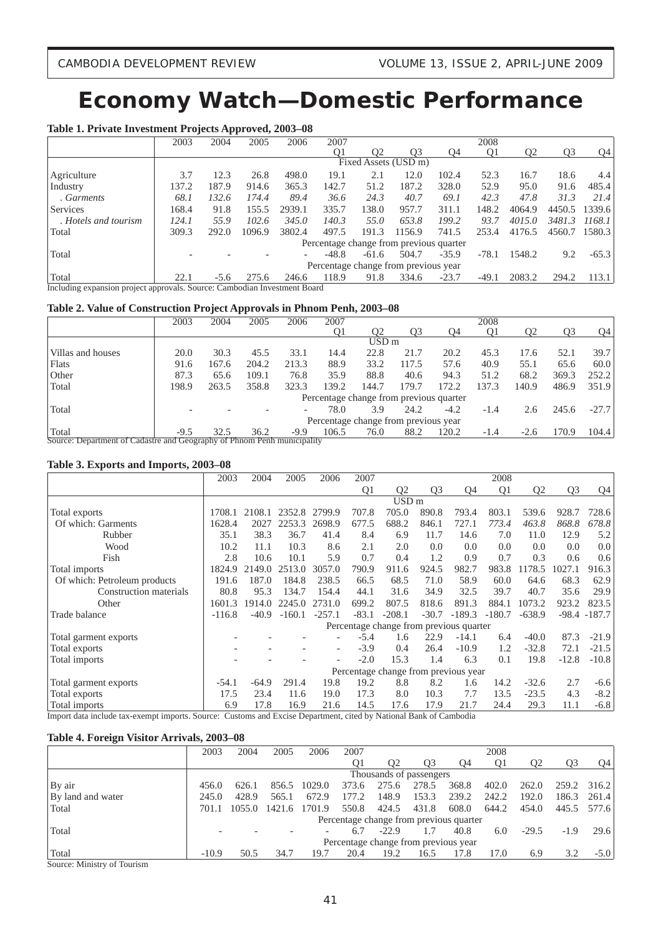# **Economy Watch—Domestic Performance**

## **Table 1. Private Investment Projects Approved, 2003–08**

|                      | 2003                                                                      | 2004   | 2005   | 2006   | 2007    |         |                                         |         | 2008           |                |                |         |  |
|----------------------|---------------------------------------------------------------------------|--------|--------|--------|---------|---------|-----------------------------------------|---------|----------------|----------------|----------------|---------|--|
|                      |                                                                           |        |        |        | 01      | 02      | O3                                      | O4      | O <sub>1</sub> | O <sub>2</sub> | O <sub>3</sub> | 04      |  |
|                      |                                                                           |        |        |        |         |         | Fixed Assets (USD m)                    |         |                |                |                |         |  |
| Agriculture          | 3.7                                                                       | 12.3   | 26.8   | 498.0  | 19.1    | 2.1     | 12.0                                    | 102.4   | 52.3           | 16.7           | 18.6           | 4.4     |  |
| Industry             | 137.2                                                                     | 187.9  | 914.6  | 365.3  | 142.7   | 51.2    | 187.2                                   | 328.0   | 52.9           | 95.0           | 91.6           | 485.4   |  |
| . Garments           | 68.1                                                                      | 132.6  | 174.4  | 89.4   | 36.6    | 24.3    | 40.7                                    | 69.1    | 42.3           | 47.8           | 31.3           | 21.4    |  |
| Services             | 168.4                                                                     | 91.8   | 155.5  | 2939.1 | 335.7   | 138.0   | 957.7                                   | 311.1   | 148.2          | 4064.9         | 4450.5         | 1339.6  |  |
| . Hotels and tourism | 124.1                                                                     | 55.9   | 102.6  | 345.0  | 140.3   | 55.0    | 653.8                                   | 199.2   | 93.7           | 4015.0         | 3481.3         | 1168.1  |  |
| Total                | 309.3                                                                     | 292.0  | 1096.9 | 3802.4 | 497.5   | 191.3   | 1156.9                                  | 741.5   | 253.4          | 4176.5         | 4560.7         | 1580.3  |  |
|                      |                                                                           |        |        |        |         |         | Percentage change from previous quarter |         |                |                |                |         |  |
| Total                |                                                                           |        |        |        | $-48.8$ | $-61.6$ | 504.7                                   | $-35.9$ | $-78.1$        | 1548.2         | 9.2            | $-65.3$ |  |
|                      |                                                                           |        |        |        |         |         | Percentage change from previous year    |         |                |                |                |         |  |
| Total                | 22.1                                                                      | $-5.6$ | 275.6  | 246.6  | 118.9   | 91.8    | 334.6                                   | $-23.7$ | $-49.1$        | 2083.2         | 294.2          | 113.1   |  |
|                      | Including expansion project approvals. Source: Cambodian Investment Board |        |        |        |         |         |                                         |         |                |                |                |         |  |

#### **Table 2. Value of Construction Project Approvals in Phnom Penh, 2003–08**

|                                                                                                                      | 2003   | 2004  | 2005  | 2006  | 2007                                    |                  |       |        | 2008           |                |       |         |
|----------------------------------------------------------------------------------------------------------------------|--------|-------|-------|-------|-----------------------------------------|------------------|-------|--------|----------------|----------------|-------|---------|
|                                                                                                                      |        |       |       |       | O1                                      | Ο2               | 03    | O4     | O <sub>1</sub> | O <sub>2</sub> | O3    | 04      |
|                                                                                                                      |        |       |       |       |                                         | USD <sub>m</sub> |       |        |                |                |       |         |
| Villas and houses                                                                                                    | 20.0   | 30.3  | 45.5  | 33.1  | 14.4                                    | 22.8             | 21.7  | 20.2   | 45.3           | 17.6           | 52.1  | 39.7    |
| <b>Flats</b>                                                                                                         | 91.6   | 167.6 | 204.2 | 213.3 | 88.9                                    | 33.2             | 117.5 | 57.6   | 40.9           | 55.1           | 65.6  | 60.0    |
| Other                                                                                                                | 87.3   | 65.6  | 109.1 | 76.8  | 35.9                                    | 88.8             | 40.6  | 94.3   | 51.2           | 68.2           | 369.3 | 252.2   |
| Total                                                                                                                | 198.9  | 263.5 | 358.8 | 323.3 | 139.2                                   | 144.7            | 179.7 | 172.2  | 137.3          | 140.9          | 486.9 | 351.9   |
|                                                                                                                      |        |       |       |       | Percentage change from previous quarter |                  |       |        |                |                |       |         |
| Total                                                                                                                |        |       |       |       | 78.0                                    | 3.9              | 24.2  | $-4.2$ | $-1.4$         | 2.6            | 245.6 | $-27.7$ |
|                                                                                                                      |        |       |       |       | Percentage change from previous year    |                  |       |        |                |                |       |         |
| Total<br>Department of Cadactus and Coognaphy of Dhugan Danh municipality<br>$C_{\alpha\alpha\beta\alpha\alpha}$ , I | $-9.5$ | 32.5  | 36.2  | -9.9  | 106.5                                   | 76.0             | 88.2  | 120.2  | $-1.4$         | $-2.6$         | 170.9 | 104.4   |

Source: Department of Cadastre and Geography of Phnom Penh municipality

#### **Table 3. Exports and Imports, 2003–08**

|                              | 2003     | 2004    | 2005     | 2006                     | 2007           |                                         |                |          | 2008           |                |                |                 |
|------------------------------|----------|---------|----------|--------------------------|----------------|-----------------------------------------|----------------|----------|----------------|----------------|----------------|-----------------|
|                              |          |         |          |                          | Q <sub>1</sub> | Q <sub>2</sub>                          | Q <sub>3</sub> | Ο4       | Q <sub>1</sub> | Q <sub>2</sub> | Q <sub>3</sub> | Q4              |
|                              |          |         |          |                          |                | USD <sub>m</sub>                        |                |          |                |                |                |                 |
| Total exports                | 1708.1   | 2108.1  | 2352.8   | 2799.9                   | 707.8          | 705.0                                   | 890.8          | 793.4    | 803.1          | 539.6          | 928.7          | 728.6           |
| Of which: Garments           | 1628.4   | 2027    | 2253.3   | 2698.9                   | 677.5          | 688.2                                   | 846.1          | 727.1    | 773.4          | 463.8          | 868.8          | 678.8           |
| Rubber                       | 35.1     | 38.3    | 36.7     | 41.4                     | 8.4            | 6.9                                     | 11.7           | 14.6     | 7.0            | 11.0           | 12.9           | 5.2             |
| Wood                         | 10.2     | 11.1    | 10.3     | 8.6                      | 2.1            | 2.0                                     | 0.0            | 0.0      | 0.0            | 0.0            | 0.0            | 0.0             |
| Fish                         | 2.8      | 10.6    | 10.1     | 5.9                      | 0.7            | 0.4                                     | 1.2            | 0.9      | 0.7            | 0.3            | 0.6            | 0.6             |
| Total imports                | 1824.9   | 2149.0  | 2513.0   | 3057.0                   | 790.9          | 911.6                                   | 924.5          | 982.7    | 983.8          | 1178.5         | 1027.1         | 916.3           |
| Of which: Petroleum products | 191.6    | 187.0   | 184.8    | 238.5                    | 66.5           | 68.5                                    | 71.0           | 58.9     | 60.0           | 64.6           | 68.3           | 62.9            |
| Construction materials       | 80.8     | 95.3    | 134.7    | 154.4                    | 44.1           | 31.6                                    | 34.9           | 32.5     | 39.7           | 40.7           | 35.6           | 29.9            |
| Other                        | 1601.3   | 1914.0  | 2245.0   | 2731.0                   | 699.2          | 807.5                                   | 818.6          | 891.3    | 884.1          | 1073.2         | 923.2          | 823.5           |
| Trade balance                | $-116.8$ | $-40.9$ | $-160.1$ | $-257.1$                 | $-83.1$        | $-208.1$                                | $-30.7$        | $-189.3$ | $-180.7$       | $-638.9$       |                | $-98.4 - 187.7$ |
|                              |          |         |          |                          |                | Percentage change from previous quarter |                |          |                |                |                |                 |
| Total garment exports        |          |         |          |                          | $-5.4$         | 1.6                                     | 22.9           | $-14.1$  | 6.4            | $-40.0$        | 87.3           | $-21.9$         |
| Total exports                |          |         |          | $\overline{\phantom{a}}$ | $-3.9$         | 0.4                                     | 26.4           | $-10.9$  | 1.2            | $-32.8$        | 72.1           | $-21.5$         |
| Total imports                |          |         |          |                          | $-2.0$         | 15.3                                    | 1.4            | 6.3      | 0.1            | 19.8           | $-12.8$        | $-10.8$         |
|                              |          |         |          |                          |                | Percentage change from previous year    |                |          |                |                |                |                 |
| Total garment exports        | $-54.1$  | $-64.9$ | 291.4    | 19.8                     | 19.2           | 8.8                                     | 8.2            | 1.6      | 14.2           | $-32.6$        | 2.7            | $-6.6$          |
| Total exports                | 17.5     | 23.4    | 11.6     | 19.0                     | 17.3           | 8.0                                     | 10.3           | 7.7      | 13.5           | $-23.5$        | 4.3            | $-8.2$          |
| Total imports                | 6.9      | 17.8    | 16.9     | 21.6                     | 14.5           | 17.6                                    | 17.9           | 21.7     | 24.4           | 29.3           | 11.1           | $-6.8$          |

Import data include tax-exempt imports. Source: Customs and Excise Department, cited by National Bank of Cambodia

#### **Table 4. Foreign Visitor Arrivals, 2003–08**

|                       | 2003    | 2004   | 2005   | 2006   | 2007                                    |         |                         |       | 2008           |                |        |        |
|-----------------------|---------|--------|--------|--------|-----------------------------------------|---------|-------------------------|-------|----------------|----------------|--------|--------|
|                       |         |        |        |        | O1                                      | Ο2      | O <sub>3</sub>          | O4    | O <sub>1</sub> | O <sub>2</sub> | O3     | 04     |
|                       |         |        |        |        |                                         |         | Thousands of passengers |       |                |                |        |        |
| By air                | 456.0   | 626.1  | 856.5  | 1029.0 | 373.6                                   | 275.6   | 278.5                   | 368.8 | 402.0          | 262.0          | 259.2  | 316.2  |
| By land and water     | 245.0   | 428.9  | 565.1  | 672.9  | 177.2                                   | 148.9   | 153.3                   | 239.2 | 242.2          | 192.0          | 186.3  | 261.4  |
| Total                 | 701.1   | 1055.0 | 1421.6 | 1701.9 | 550.8                                   | 424.5   | 431.8                   | 608.0 | 644.2          | 454.0          | 445.5  | 577.6  |
|                       |         |        |        |        | Percentage change from previous quarter |         |                         |       |                |                |        |        |
| Total                 |         |        |        |        |                                         | $-22.9$ | 1.7                     | 40.8  | 6.0            | $-29.5$        | $-1.9$ | 29.6   |
|                       |         |        |        |        | Percentage change from previous year    |         |                         |       |                |                |        |        |
| Total                 | $-10.9$ | 50.5   | 34.7   | 19.7   | 20.4                                    | 19.2    | 16.5                    | 17.8  | 7.0            | 6.9            |        | $-5.0$ |
| $\alpha$ are $\alpha$ |         |        |        |        |                                         |         |                         |       |                |                |        |        |

Source: Ministry of Tourism